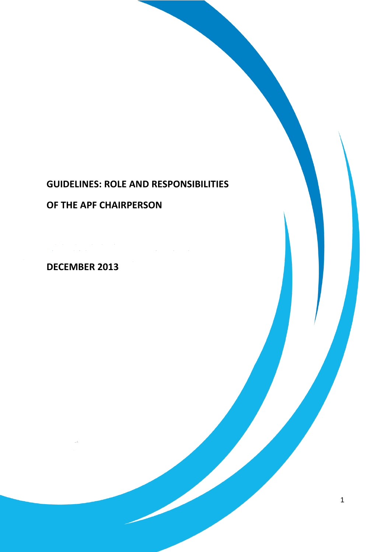# **GUIDELINES: ROLE AND RESPONSIBILITIES**

# **OF THE APF CHAIRPERSON**

 $\mathcal{L}$  is the space of the space of the space of the space of the space of the space of the space of the space of the space of the space of the space of the space of the space of the space of the space of the space of t

# **DECEMBER 2013**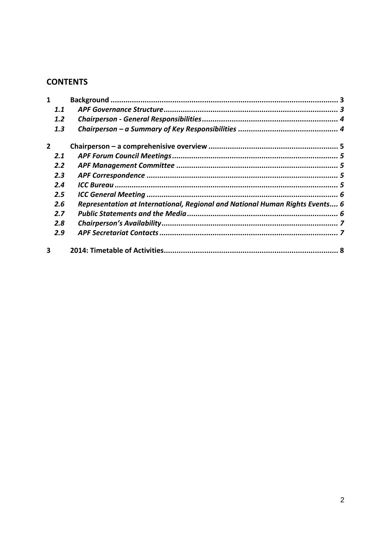# **CONTENTS**

| 1              |                                                                              |   |
|----------------|------------------------------------------------------------------------------|---|
| 1.1            |                                                                              |   |
| 1.2            |                                                                              |   |
| 1.3            |                                                                              |   |
| $\overline{2}$ |                                                                              |   |
| 2.1            |                                                                              |   |
| 2.2            |                                                                              |   |
| 2.3            |                                                                              |   |
| 2.4            |                                                                              |   |
| $2.5\,$        |                                                                              |   |
| 2.6            | Representation at International, Regional and National Human Rights Events 6 |   |
| 2.7            |                                                                              |   |
| 2.8            |                                                                              |   |
| 2.9            |                                                                              |   |
| 3              |                                                                              | 8 |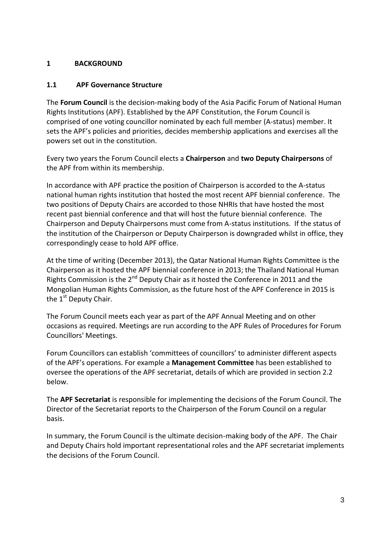#### <span id="page-2-0"></span>**1 BACKGROUND**

#### <span id="page-2-1"></span>**1.1 APF Governance Structure**

The **Forum Council** is the decision-making body of the Asia Pacific Forum of National Human Rights Institutions (APF). Established by the APF Constitution, the Forum Council is comprised of one voting councillor nominated by each full member (A-status) member. It sets the APF's policies and priorities, decides membership applications and exercises all the powers set out in the constitution.

Every two years the Forum Council elects a **Chairperson** and **two Deputy Chairpersons** of the APF from within its membership.

In accordance with APF practice the position of Chairperson is accorded to the A-status national human rights institution that hosted the most recent APF biennial conference. The two positions of Deputy Chairs are accorded to those NHRIs that have hosted the most recent past biennial conference and that will host the future biennial conference. The Chairperson and Deputy Chairpersons must come from A-status institutions. If the status of the institution of the Chairperson or Deputy Chairperson is downgraded whilst in office, they correspondingly cease to hold APF office.

At the time of writing (December 2013), the Qatar National Human Rights Committee is the Chairperson as it hosted the APF biennial conference in 2013; the Thailand National Human Rights Commission is the  $2^{nd}$  Deputy Chair as it hosted the Conference in 2011 and the Mongolian Human Rights Commission, as the future host of the APF Conference in 2015 is the 1<sup>st</sup> Deputy Chair.

The Forum Council meets each year as part of the APF Annual Meeting and on other occasions as required. Meetings are run according to the APF Rules of Procedures for Forum Councillors' Meetings.

Forum Councillors can establish 'committees of councillors' to administer different aspects of the APF's operations. For example a **Management Committee** has been established to oversee the operations of the APF secretariat, details of which are provided in section 2.2 below.

The **APF Secretariat** is responsible for implementing the decisions of the Forum Council. The Director of the Secretariat reports to the Chairperson of the Forum Council on a regular basis.

In summary, the Forum Council is the ultimate decision-making body of the APF. The Chair and Deputy Chairs hold important representational roles and the APF secretariat implements the decisions of the Forum Council.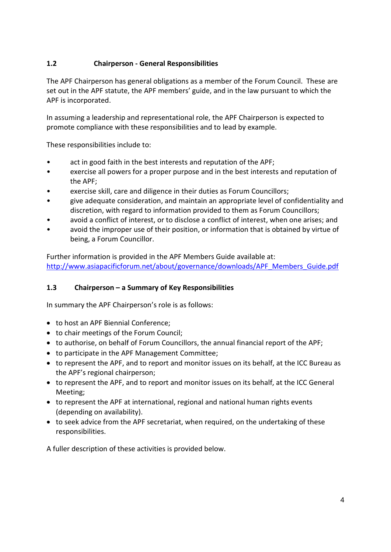# <span id="page-3-0"></span>**1.2 Chairperson - General Responsibilities**

The APF Chairperson has general obligations as a member of the Forum Council. These are set out in the APF statute, the APF members' guide, and in the law pursuant to which the APF is incorporated.

In assuming a leadership and representational role, the APF Chairperson is expected to promote compliance with these responsibilities and to lead by example.

These responsibilities include to:

- act in good faith in the best interests and reputation of the APF;
- exercise all powers for a proper purpose and in the best interests and reputation of the APF;
- exercise skill, care and diligence in their duties as Forum Councillors;
- give adequate consideration, and maintain an appropriate level of confidentiality and discretion, with regard to information provided to them as Forum Councillors;
- avoid a conflict of interest, or to disclose a conflict of interest, when one arises; and
- avoid the improper use of their position, or information that is obtained by virtue of being, a Forum Councillor.

Further information is provided in the APF Members Guide available at: [http://www.asiapacificforum.net/about/governance/downloads/APF\\_Members\\_Guide.pdf](http://www.asiapacificforum.net/about/governance/downloads/APF_Members_Guide.pdf)

## <span id="page-3-1"></span>**1.3 Chairperson – a Summary of Key Responsibilities**

In summary the APF Chairperson's role is as follows:

- to host an APF Biennial Conference;
- to chair meetings of the Forum Council;
- to authorise, on behalf of Forum Councillors, the annual financial report of the APF;
- to participate in the APF Management Committee;
- to represent the APF, and to report and monitor issues on its behalf, at the ICC Bureau as the APF's regional chairperson;
- to represent the APF, and to report and monitor issues on its behalf, at the ICC General Meeting;
- to represent the APF at international, regional and national human rights events (depending on availability).
- to seek advice from the APF secretariat, when required, on the undertaking of these responsibilities.

A fuller description of these activities is provided below.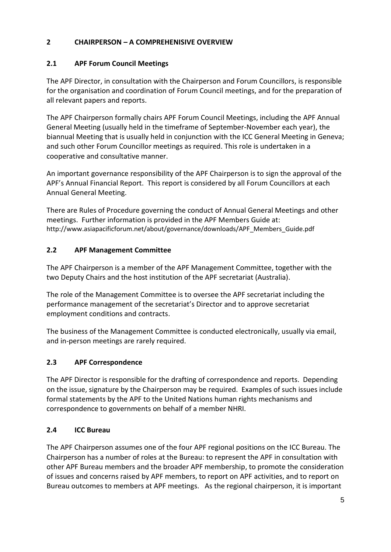## <span id="page-4-0"></span>**2 CHAIRPERSON – A COMPREHENISIVE OVERVIEW**

### <span id="page-4-1"></span>**2.1 APF Forum Council Meetings**

The APF Director, in consultation with the Chairperson and Forum Councillors, is responsible for the organisation and coordination of Forum Council meetings, and for the preparation of all relevant papers and reports.

The APF Chairperson formally chairs APF Forum Council Meetings, including the APF Annual General Meeting (usually held in the timeframe of September-November each year), the biannual Meeting that is usually held in conjunction with the ICC General Meeting in Geneva; and such other Forum Councillor meetings as required. This role is undertaken in a cooperative and consultative manner.

An important governance responsibility of the APF Chairperson is to sign the approval of the APF's Annual Financial Report. This report is considered by all Forum Councillors at each Annual General Meeting.

There are Rules of Procedure governing the conduct of Annual General Meetings and other meetings. Further information is provided in the APF Members Guide at: http://www.asiapacificforum.net/about/governance/downloads/APF\_Members\_Guide.pdf

#### <span id="page-4-2"></span>**2.2 APF Management Committee**

The APF Chairperson is a member of the APF Management Committee, together with the two Deputy Chairs and the host institution of the APF secretariat (Australia).

The role of the Management Committee is to oversee the APF secretariat including the performance management of the secretariat's Director and to approve secretariat employment conditions and contracts.

The business of the Management Committee is conducted electronically, usually via email, and in-person meetings are rarely required.

## <span id="page-4-3"></span>**2.3 APF Correspondence**

The APF Director is responsible for the drafting of correspondence and reports. Depending on the issue, signature by the Chairperson may be required. Examples of such issues include formal statements by the APF to the United Nations human rights mechanisms and correspondence to governments on behalf of a member NHRI.

## <span id="page-4-4"></span>**2.4 ICC Bureau**

The APF Chairperson assumes one of the four APF regional positions on the ICC Bureau. The Chairperson has a number of roles at the Bureau: to represent the APF in consultation with other APF Bureau members and the broader APF membership, to promote the consideration of issues and concerns raised by APF members, to report on APF activities, and to report on Bureau outcomes to members at APF meetings. As the regional chairperson, it is important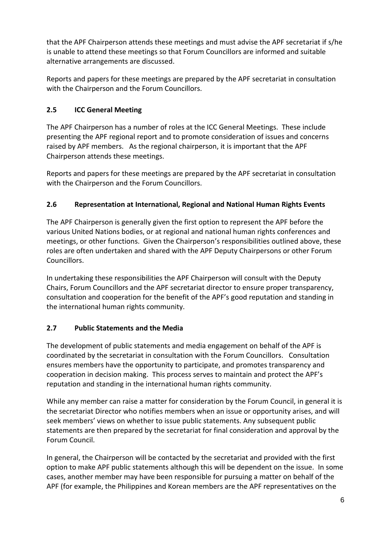that the APF Chairperson attends these meetings and must advise the APF secretariat if s/he is unable to attend these meetings so that Forum Councillors are informed and suitable alternative arrangements are discussed.

Reports and papers for these meetings are prepared by the APF secretariat in consultation with the Chairperson and the Forum Councillors.

# <span id="page-5-0"></span>**2.5 ICC General Meeting**

The APF Chairperson has a number of roles at the ICC General Meetings. These include presenting the APF regional report and to promote consideration of issues and concerns raised by APF members. As the regional chairperson, it is important that the APF Chairperson attends these meetings.

Reports and papers for these meetings are prepared by the APF secretariat in consultation with the Chairperson and the Forum Councillors.

# <span id="page-5-1"></span>**2.6 Representation at International, Regional and National Human Rights Events**

The APF Chairperson is generally given the first option to represent the APF before the various United Nations bodies, or at regional and national human rights conferences and meetings, or other functions. Given the Chairperson's responsibilities outlined above, these roles are often undertaken and shared with the APF Deputy Chairpersons or other Forum Councillors.

In undertaking these responsibilities the APF Chairperson will consult with the Deputy Chairs, Forum Councillors and the APF secretariat director to ensure proper transparency, consultation and cooperation for the benefit of the APF's good reputation and standing in the international human rights community.

## <span id="page-5-2"></span>**2.7 Public Statements and the Media**

The development of public statements and media engagement on behalf of the APF is coordinated by the secretariat in consultation with the Forum Councillors. Consultation ensures members have the opportunity to participate, and promotes transparency and cooperation in decision making. This process serves to maintain and protect the APF's reputation and standing in the international human rights community.

While any member can raise a matter for consideration by the Forum Council, in general it is the secretariat Director who notifies members when an issue or opportunity arises, and will seek members' views on whether to issue public statements. Any subsequent public statements are then prepared by the secretariat for final consideration and approval by the Forum Council.

In general, the Chairperson will be contacted by the secretariat and provided with the first option to make APF public statements although this will be dependent on the issue. In some cases, another member may have been responsible for pursuing a matter on behalf of the APF (for example, the Philippines and Korean members are the APF representatives on the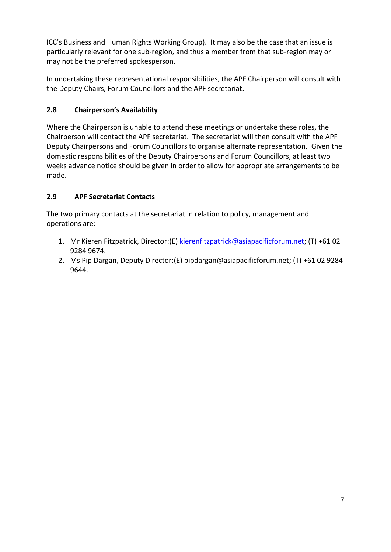ICC's Business and Human Rights Working Group). It may also be the case that an issue is particularly relevant for one sub-region, and thus a member from that sub-region may or may not be the preferred spokesperson.

In undertaking these representational responsibilities, the APF Chairperson will consult with the Deputy Chairs, Forum Councillors and the APF secretariat.

# <span id="page-6-0"></span>**2.8 Chairperson's Availability**

Where the Chairperson is unable to attend these meetings or undertake these roles, the Chairperson will contact the APF secretariat. The secretariat will then consult with the APF Deputy Chairpersons and Forum Councillors to organise alternate representation. Given the domestic responsibilities of the Deputy Chairpersons and Forum Councillors, at least two weeks advance notice should be given in order to allow for appropriate arrangements to be made.

# <span id="page-6-1"></span>**2.9 APF Secretariat Contacts**

The two primary contacts at the secretariat in relation to policy, management and operations are:

- 1. Mr Kieren Fitzpatrick, Director:(E) [kierenfitzpatrick@asiapacificforum.net;](mailto:kierenfitzpatrick@asiapacificforum.net) (T) +61 02 9284 9674.
- 2. Ms Pip Dargan, Deputy Director:(E) pipdargan@asiapacificforum.net; (T) +61 02 9284 9644.